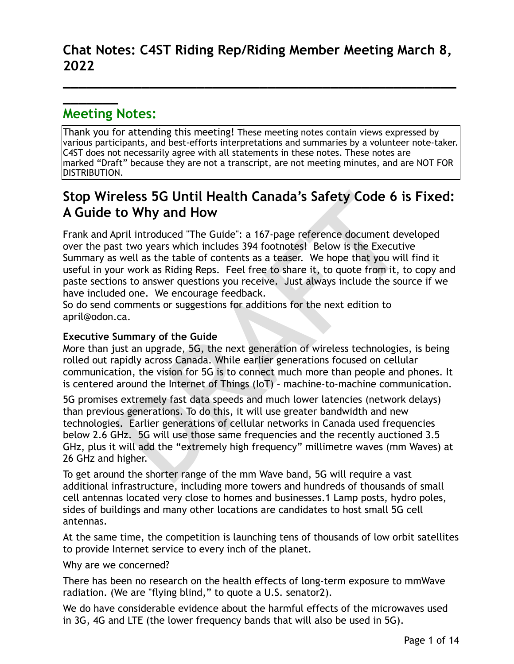**\_\_\_\_\_\_\_\_\_\_\_\_\_\_\_\_\_\_\_\_\_\_\_\_\_\_\_\_\_\_\_\_\_\_\_\_\_\_\_\_\_\_\_\_\_\_\_\_\_\_**

# **Meeting Notes:**

**\_\_\_\_\_\_\_**

Thank you for attending this meeting! These meeting notes contain views expressed by various participants, and best-efforts interpretations and summaries by a volunteer note-taker. C4ST does not necessarily agree with all statements in these notes. These notes are marked "Draft" because they are not a transcript, are not meeting minutes, and are NOT FOR DISTRIBUTION.

## **Stop Wireless 5G Until Health Canada's Safety Code 6 is Fixed: A Guide to Why and How**

Frank and April introduced "The Guide": a 167-page reference document developed over the past two years which includes 394 footnotes! Below is the Executive Summary as well as the table of contents as a teaser. We hope that you will find it useful in your work as Riding Reps. Feel free to share it, to quote from it, to copy and paste sections to answer questions you receive. Just always include the source if we have included one. We encourage feedback.

So do send comments or suggestions for additions for the next edition to april@odon.ca.

## **Executive Summary of the Guide**

More than just an upgrade, 5G, the next generation of wireless technologies, is being rolled out rapidly across Canada. While earlier generations focused on cellular communication, the vision for 5G is to connect much more than people and phones. It is centered around the Internet of Things (IoT) – machine-to-machine communication.

Teless 5G Until Health Canada's Safety Code 6 is<br>to Why and How<br>pril introduced "The Guide": a 167-page reference document dev<br>st two years which includes 394 footnotes! Below is the Executiv<br>swell as the table of contents 5G promises extremely fast data speeds and much lower latencies (network delays) than previous generations. To do this, it will use greater bandwidth and new technologies. Earlier generations of cellular networks in Canada used frequencies below 2.6 GHz. 5G will use those same frequencies and the recently auctioned 3.5 GHz, plus it will add the "extremely high frequency" millimetre waves (mm Waves) at 26 GHz and higher.

To get around the shorter range of the mm Wave band, 5G will require a vast additional infrastructure, including more towers and hundreds of thousands of small cell antennas located very close to homes and businesses.1 Lamp posts, hydro poles, sides of buildings and many other locations are candidates to host small 5G cell antennas.

At the same time, the competition is launching tens of thousands of low orbit satellites to provide Internet service to every inch of the planet.

Why are we concerned?

There has been no research on the health effects of long-term exposure to mmWave radiation. (We are "flying blind," to quote a U.S. senator2).

We do have considerable evidence about the harmful effects of the microwaves used in 3G, 4G and LTE (the lower frequency bands that will also be used in 5G).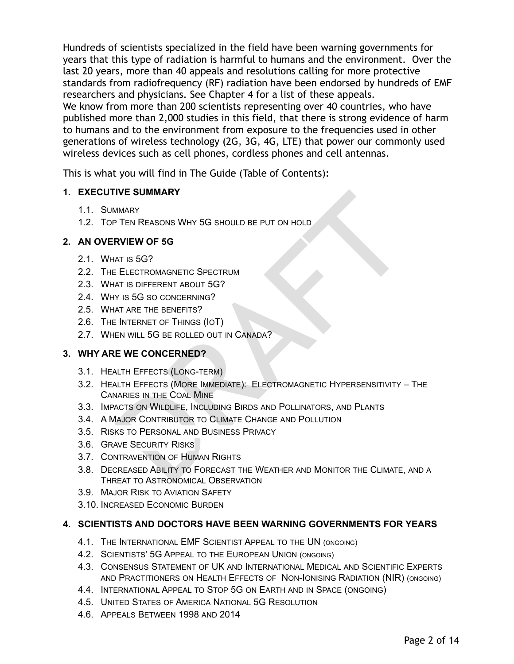Hundreds of scientists specialized in the field have been warning governments for years that this type of radiation is harmful to humans and the environment. Over the last 20 years, more than 40 appeals and resolutions calling for more protective standards from radiofrequency (RF) radiation have been endorsed by hundreds of EMF researchers and physicians. See Chapter 4 for a list of these appeals. We know from more than 200 scientists representing over 40 countries, who have published more than 2,000 studies in this field, that there is strong evidence of harm to humans and to the environment from exposure to the frequencies used in other generations of wireless technology (2G, 3G, 4G, LTE) that power our commonly used wireless devices such as cell phones, cordless phones and cell antennas.

This is what you will find in The Guide (Table of Contents):

### **1. EXECUTIVE SUMMARY**

- 1.1. SUMMARY
- 1.2. TOP TEN REASONS WHY 5G SHOULD BE PUT ON HOLD

## **2. AN OVERVIEW OF 5G**

- 2.1. WHAT IS 5G?
- 2.2. THE ELECTROMAGNETIC SPECTRUM
- 2.3. WHAT IS DIFFERENT ABOUT 5G?
- 2.4. WHY IS 5G SO CONCERNING ?
- 2.5. WHAT ARE THE BENEFITS ?
- 2.6. THE INTERNET OF THINGS (IOT)
- 2.7. WHEN WILL 5G BE ROLLED OUT IN CANADA?

## **3. WHY ARE WE CONCERNED?**

- 3.1. HEALTH EFFECTS (LONG -TERM )
- IVE SUMMARY<br>
MMARY<br>
TEN REASONS WHY 5G SHOULD BE PUT ON HOLD<br> **RVIEW OF 5G**<br>
AT IS 5G?<br>
ELECTROMAGNETIC SPECTRUM<br>
AT IS 5G SO CONCERNING?<br>
AT ARE THE BENEFIT ASOUT OUT IN CANADA?<br>
AT ARE THE BENEFITS?<br>
E WE CONCERNED?<br>
AT 3.2. HEALTH EFFECTS (MORE IMMEDIATE): ELECTROMAGNETIC HYPERSENSITIVITY – THE CANARIES IN THE COAL MINE
- 3.3. IMPACTS ON WILDLIFE, INCLUDING BIRDS AND POLLINATORS, AND PLANTS
- 3.4. A MAJOR CONTRIBUTOR TO CLIMATE CHANGE AND POLLUTION
- 3.5. RISKS TO PERSONAL AND BUSINESS PRIVACY
- 3.6. GRAVE SECURITY RISKS
- 3.7. CONTRAVENTION OF HUMAN RIGHTS
- 3.8. DECREASED ABILITY TO FORECAST THE WEATHER AND MONITOR THE CLIMATE, AND A THREAT TO ASTRONOMICAL OBSERVATION
- 3.9. MAJOR RISK TO AVIATION SAFETY
- 3.10. INCREASED ECONOMIC BURDEN

## **4. SCIENTISTS AND DOCTORS HAVE BEEN WARNING GOVERNMENTS FOR YEARS**

- 4.1. THE INTERNATIONAL EMF SCIENTIST APPEAL TO THE UN (ONGOING )
- 4.2. SCIENTISTS' 5G APPEAL TO THE EUROPEAN UNION (ONGOING )
- 4.3. CONSENSUS STATEMENT OF UK AND INTERNATIONAL MEDICAL AND SCIENTIFIC EXPERTS AND PRACTITIONERS ON HEALTH EFFECTS OF NON-IONISING RADIATION (NIR) (ONGOING )
- 4.4. INTERNATIONAL APPEAL TO STOP 5G ON EARTH AND IN SPACE (ONGOING )
- 4.5. UNITED STATES OF AMERICA NATIONAL 5G RESOLUTION
- 4.6. APPEALS BETWEEN 1998 AND 2014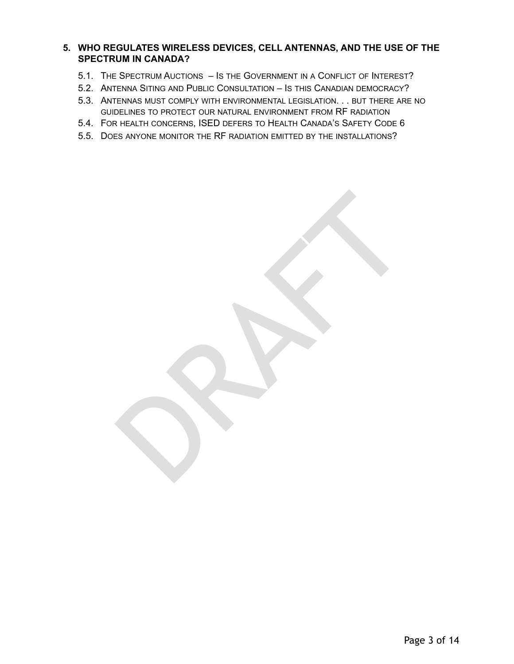#### **5. WHO REGULATES WIRELESS DEVICES, CELL ANTENNAS, AND THE USE OF THE SPECTRUM IN CANADA?**

- 5.1. THE SPECTRUM AUCTIONS IS THE GOVERNMENT IN A CONFLICT OF INTEREST?
- 5.2. ANTENNA SITING AND PUBLIC CONSULTATION IS THIS CANADIAN DEMOCRACY?
- 5.3. ANTENNAS MUST COMPLY WITH ENVIRONMENTAL LEGISLATION. . . BUT THERE ARE NO GUIDELINES TO PROTECT OUR NATURAL ENVIRONMENT FROM RF RADIATION

RAFTER RES

- 5.4. FOR HEALTH CONCERNS, ISED DEFERS TO HEALTH CANADA ' S SAFETY CODE 6
- 5.5. DOES ANYONE MONITOR THE RF RADIATION EMITTED BY THE INSTALLATIONS ?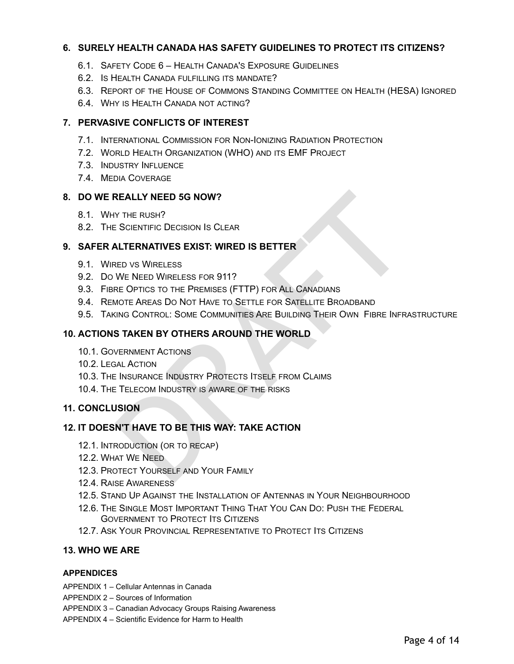#### **6. SURELY HEALTH CANADA HAS SAFETY GUIDELINES TO PROTECT ITS CITIZENS?**

- 6.1. SAFETY CODE 6 HEALTH CANADA 'S EXPOSURE GUIDELINES
- 6.2. IS HEALTH CANADA FULFILLING ITS MANDATE?
- 6.3. REPORT OF THE HOUSE OF COMMONS STANDING COMMITTEE ON HEALTH (HESA) IGNORED
- 6.4. WHY IS HEALTH CANADA NOT ACTING?

#### **7. PERVASIVE CONFLICTS OF INTEREST**

- 7.1. INTERNATIONAL COMMISSION FOR NON-IONIZING RADIATION PROTECTION
- 7.2. WORLD HEALTH ORGANIZATION (WHO) AND ITS EMF PROJECT
- 7.3. INDUSTRY INFLUENCE
- 7.4. MEDIA COVERAGE

#### **8. DO WE REALLY NEED 5G NOW?**

- 8.1. WHY THE RUSH ?
- 8.2. THE SCIENTIFIC DECISION I S CLEAR

#### **9. SAFER ALTERNATIVES EXIST: WIRED IS BETTER**

- 9.1. WIRED VS WIRELESS
- 9.2. D O W E NEED WIRELESS FOR 911?
- 9.3. FIBRE OPTICS TO THE PREMISES (FTTP) FOR ALL CANADIANS
- 9.4. REMOTE AREAS D O NOT HAVE TO SETTLE FOR SATELLITE BROADBAND
- REALLY NEED 5G NOW?<br>
Y THE RUSH?<br>
SCIENTIFIC DECISION IS CLEAR<br>
ALTERNATIVES EXIST: WIRED IS BETTER<br>
RED VS WIRELESS<br>
WE NEED WIRELESS<br>
WE NEED WIRELESS FOR 911?<br>
RE OPTICS TO THE PREMISES (FTTP) FOR ALL CANADIANS<br>
MOTE AR 9.5. TAKING CONTROL: SOME COMMUNITIES ARE BUILDING THEIR OWN FIBRE INFRASTRUCTURE

#### **10. ACTIONS TAKEN BY OTHERS AROUND THE WORLD**

- 10.1. GOVERNMENT ACTIONS
- 10.2. LEGAL ACTION
- 10.3. THE INSURANCE INDUSTRY PROTECTS ITSELF FROM CLAIMS
- 10.4. THE TELECOM INDUSTRY IS AWARE OF THE RISKS

#### **11. CONCLUSION**

#### **12. IT DOESN'T HAVE TO BE THIS WAY: TAKE ACTION**

- 12.1. INTRODUCTION (OR TO RECAP)
- 12.2. WHAT W E NEED
- 12.3. PROTECT YOURSELF AND YOUR FAMILY
- 12.4. RAISE AWARENESS
- 12.5. STAND U P AGAINST THE INSTALLATION OF ANTENNAS IN YOUR NEIGHBOURHOOD
- 12.6. THE SINGLE MOST IMPORTANT THING THAT YOU CAN D O: PUSH THE FEDERAL GOVERNMENT TO PROTECT ITS CITIZENS
- 12.7. ASK YOUR PROVINCIAL REPRESENTATIVE TO PROTECT ITS CITIZENS

#### **13. WHO WE ARE**

#### **APPENDICES**

- APPENDIX 1 Cellular Antennas in Canada
- APPENDIX 2 Sources of Information
- APPENDIX 3 Canadian Advocacy Groups Raising Awareness
- APPENDIX 4 Scientific Evidence for Harm to Health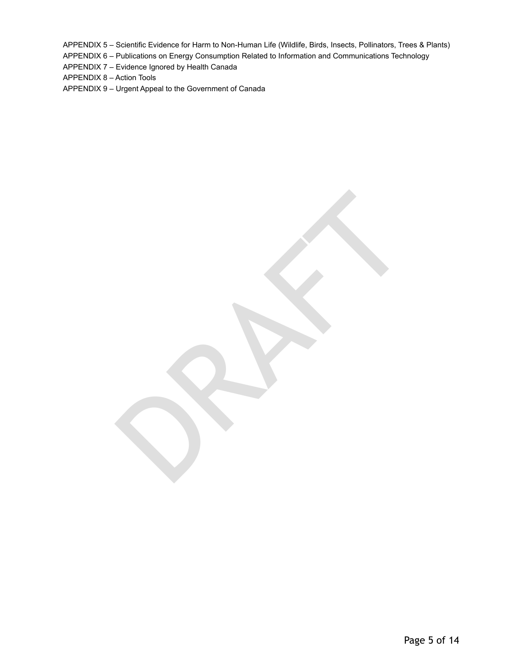APPENDIX 5 – Scientific Evidence for Harm to Non-Human Life (Wildlife, Birds, Insects, Pollinators, Trees & Plants)

RAFTER RES

APPENDIX 6 – Publications on Energy Consumption Related to Information and Communications Technology

APPENDIX 7 – Evidence Ignored by Health Canada

APPENDIX 8 – Action Tools

APPENDIX 9 – Urgent Appeal to the Government of Canada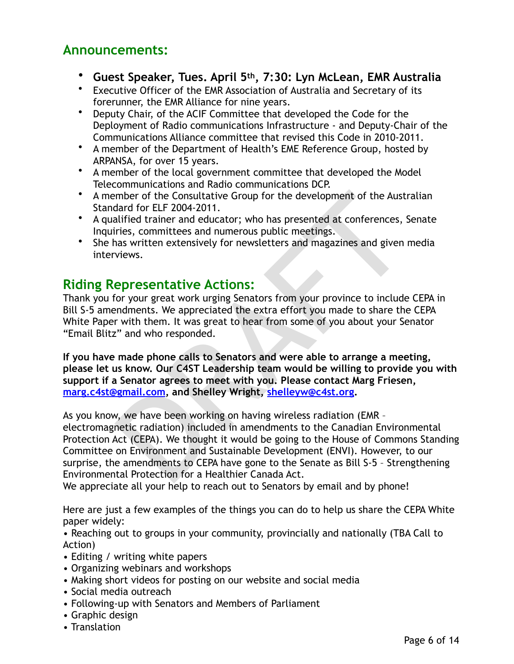## **Announcements:**

- **Guest Speaker, Tues. April 5th, 7:30: Lyn McLean, EMR Australia**
- Executive Officer of the EMR Association of Australia and Secretary of its forerunner, the EMR Alliance for nine years.
- Deputy Chair, of the ACIF Committee that developed the Code for the Deployment of Radio communications Infrastructure - and Deputy-Chair of the Communications Alliance committee that revised this Code in 2010-2011.
- A member of the Department of Health's EME Reference Group, hosted by ARPANSA, for over 15 years.
- A member of the local government committee that developed the Model Telecommunications and Radio communications DCP.
- A member of the Consultative Group for the development of the Australian Standard for ELF 2004-2011.
- A qualified trainer and educator; who has presented at conferences, Senate Inquiries, committees and numerous public meetings.
- She has written extensively for newsletters and magazines and given media interviews.

## **Riding Representative Actions:**

Thank you for your great work urging Senators from your province to include CEPA in Bill S-5 amendments. We appreciated the extra effort you made to share the CEPA White Paper with them. It was great to hear from some of you about your Senator "Email Blitz" and who responded.

**If you have made phone calls to Senators and were able to arrange a meeting, please let us know. Our C4ST Leadership team would be willing to provide you with support if a Senator agrees to meet with you. Please contact Marg Friesen, [marg.c4st@gmail.com](mailto:marg.c4st@gmail.com), and Shelley Wright, shelleyw@c4st.org.** 

mber of the Consultative Group for the development of the Austrard for ELF 2004-2011.<br>
diffied trainer and educator; who has presented at conferences, S<br>
diffied trainer and educator; who has presented at conferences, S<br>
r As you know, we have been working on having wireless radiation (EMR – electromagnetic radiation) included in amendments to the Canadian Environmental Protection Act (CEPA). We thought it would be going to the House of Commons Standing Committee on Environment and Sustainable Development (ENVI). However, to our surprise, the amendments to CEPA have gone to the Senate as Bill S-5 – Strengthening Environmental Protection for a Healthier Canada Act.

We appreciate all your help to reach out to Senators by email and by phone!

Here are just a few examples of the things you can do to help us share the CEPA White paper widely:

• Reaching out to groups in your community, provincially and nationally (TBA Call to Action)

- Editing / writing white papers
- Organizing webinars and workshops
- Making short videos for posting on our website and social media
- Social media outreach
- Following-up with Senators and Members of Parliament
- Graphic design
- Translation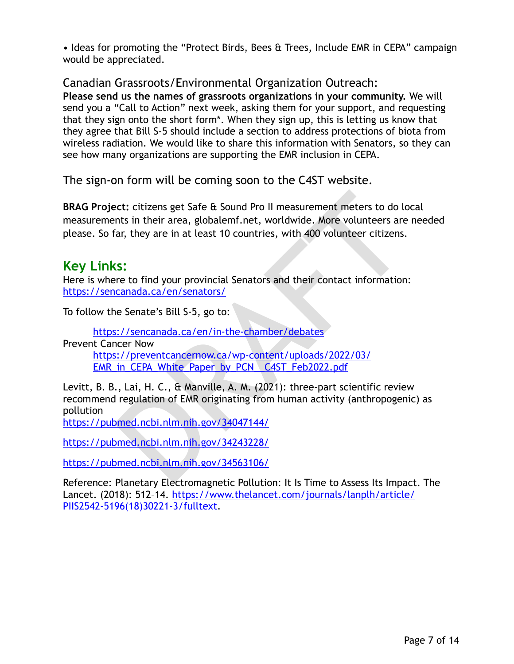• Ideas for promoting the "Protect Birds, Bees & Trees, Include EMR in CEPA" campaign would be appreciated.

## Canadian Grassroots/Environmental Organization Outreach:

**Please send us the names of grassroots organizations in your community.** We will send you a "Call to Action" next week, asking them for your support, and requesting that they sign onto the short form\*. When they sign up, this is letting us know that they agree that Bill S-5 should include a section to address protections of biota from wireless radiation. We would like to share this information with Senators, so they can see how many organizations are supporting the EMR inclusion in CEPA.

The sign-on form will be coming soon to the C4ST website.

ect: citizens get Safe & Sound Pro II measurement meters to do loomts in their area, globalemf.net, worldwide. More volunteers are<br>ar, they are in at least 10 countries, with 400 volunteer citizens.<br>
SS:<br>
SS:<br>
SS:<br>
The sec **BRAG Project:** citizens get Safe & Sound Pro II measurement meters to do local measurements in their area, globalemf.net, worldwide. More volunteers are needed please. So far, they are in at least 10 countries, with 400 volunteer citizens.

## **Key Links:**

Here is where to find your provincial Senators and their contact information: <https://sencanada.ca/en/senators/>

To follow the Senate's Bill S-5, go to:

https://sencanada.ca/en/in-the-chamber/debates Prevent Cancer Now https://preventcancernow.ca/wp-content/uploads/2022/03/ [EMR\\_in\\_CEPA\\_White\\_Paper\\_by\\_PCN\\_\\_C4ST\\_Feb2022.pdf](https://preventcancernow.ca/wp-content/uploads/2022/03/EMR_in_CEPA_White_Paper_by_PCN__C4ST_Feb2022.pdf)

Levitt, B. B., Lai, H. C., & Manville, A. M. (2021): three-part scientific review recommend regulation of EMR originating from human activity (anthropogenic) as pollution

<https://pubmed.ncbi.nlm.nih.gov/34047144/>

<https://pubmed.ncbi.nlm.nih.gov/34243228/>

<https://pubmed.ncbi.nlm.nih.gov/34563106/>

Reference: Planetary Electromagnetic Pollution: It Is Time to Assess Its Impact. The [Lancet. \(2018\): 512–14. https://www.thelancet.com/journals/lanplh/article/](https://www.thelancet.com/journals/lanplh/article/PIIS2542-5196(18)30221-3/fulltext) [PIIS2542-5196\(18\)30221-3/fulltext.](https://www.thelancet.com/journals/lanplh/article/PIIS2542-5196(18)30221-3/fulltext)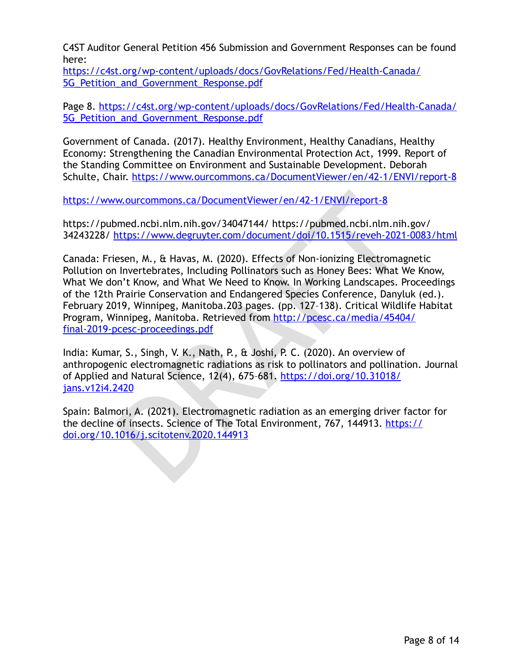C4ST Auditor General Petition 456 Submission and Government Responses can be found here:

[https://c4st.org/wp-content/uploads/docs/GovRelations/Fed/Health-Canada/](https://c4st.org/wp-content/uploads/docs/GovRelations/Fed/Health-Canada/5G_Petition_and_Government_Response.pdf) 5G Petition and Government Response.pdf

[Page 8. https://c4st.org/wp-content/uploads/docs/GovRelations/Fed/Health-Canada/](https://c4st.org/wp-content/uploads/docs/GovRelations/Fed/Health-Canada/5G_Petition_and_Government_Response.pdf) 5G Petition and Government Response.pdf

Government of Canada. (2017). Healthy Environment, Healthy Canadians, Healthy Economy: Strengthening the Canadian Environmental Protection Act, 1999. Report of the Standing Committee on Environment and Sustainable Development. Deborah Schulte, Chair.<https://www.ourcommons.ca/DocumentViewer/en/42-1/ENVI/report-8>

https://www.ourcommons.ca/DocumentViewer/en/42-1/ENVI/report-8

https://pubmed.ncbi.nlm.nih.gov/34047144/ https://pubmed.ncbi.nlm.nih.gov/ 34243228/ https://www.degruyter.com/document/doi/10.1515/reveh-2021-0083/html

w.ourcommons.ca/DocumentViewer/en/42-1/ENVl/report-8<br>
bmed.ncbi.nlm.nih.gov/34047144/https://pubmed.ncbi.nlm.nih.<br>
https://www.degruyter.com/document/doi/10.1515/reveh-2021-<br>
esen, M., & Havas, M. (2020). Effects of Non-io Canada: Friesen, M., & Havas, M. (2020). Effects of Non-ionizing Electromagnetic Pollution on Invertebrates, Including Pollinators such as Honey Bees: What We Know, What We don't Know, and What We Need to Know. In Working Landscapes. Proceedings of the 12th Prairie Conservation and Endangered Species Conference, Danyluk (ed.). February 2019, Winnipeg, Manitoba.203 pages. (pp. 127–138). Critical Wildlife Habitat Program, Winnipeg, Manitoba. Retrieved from http://pcesc.ca/media/45404/ [final-2019-pcesc-proceedings.pdf](http://pcesc.ca/media/45404/final-2019-pcesc-proceedings.pdf)

India: Kumar, S., Singh, V. K., Nath, P., & Joshi, P. C. (2020). An overview of anthropogenic electromagnetic radiations as risk to pollinators and pollination. Journal of Applied and Natural Science, 12(4), 675–681. https://doi.org/10.31018/ [jans.v12i4.2420](https://doi.org/10.31018/jans.v12i4.2420)

Spain: Balmori, A. (2021). Electromagnetic radiation as an emerging driver factor for the decline of insects. Science of The Total Environment, 767, 144913. [https://](https://doi.org/10.1016/j.scitotenv.2020.144913) [doi.org/10.1016/j.scitotenv.2020.144913](https://doi.org/10.1016/j.scitotenv.2020.144913)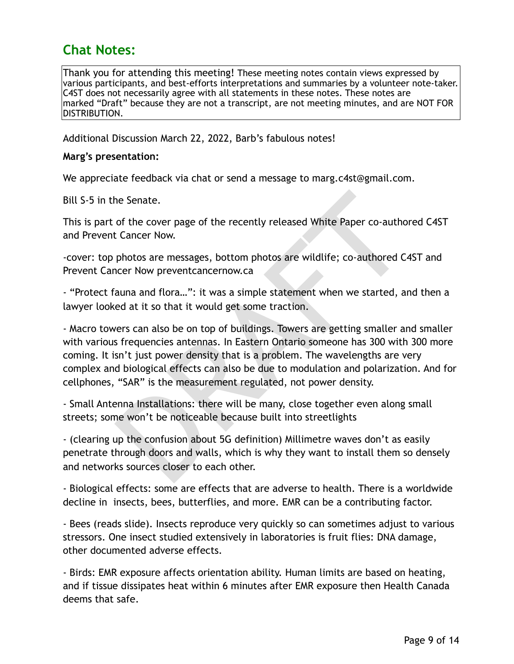# **Chat Notes:**

Thank you for attending this meeting! These meeting notes contain views expressed by various participants, and best-efforts interpretations and summaries by a volunteer note-taker. C4ST does not necessarily agree with all statements in these notes. These notes are marked "Draft" because they are not a transcript, are not meeting minutes, and are NOT FOR DISTRIBUTION.

Additional Discussion March 22, 2022, Barb's fabulous notes!

#### **Marg's presentation:**

We appreciate feedback via chat or send a message to marg.c4st@gmail.com.

Bill S-5 in the Senate.

This is part of the cover page of the recently released White Paper co-authored C4ST and Prevent Cancer Now.

-cover: top photos are messages, bottom photos are wildlife; co-authored C4ST and Prevent Cancer Now preventcancernow.ca

- "Protect fauna and flora…": it was a simple statement when we started, and then a lawyer looked at it so that it would get some traction.

he Senate.<br>
of the cover page of the recently released White Paper co-author<br>
c Cancer Now.<br>
photos are messages, bottom photos are wildlife; co-authored C4<br>
care Now prevent<br>
cancer Now prevent cancernow.ca<br>
auna and flor - Macro towers can also be on top of buildings. Towers are getting smaller and smaller with various frequencies antennas. In Eastern Ontario someone has 300 with 300 more coming. It isn't just power density that is a problem. The wavelengths are very complex and biological effects can also be due to modulation and polarization. And for cellphones, "SAR" is the measurement regulated, not power density.

- Small Antenna Installations: there will be many, close together even along small streets; some won't be noticeable because built into streetlights

- (clearing up the confusion about 5G definition) Millimetre waves don't as easily penetrate through doors and walls, which is why they want to install them so densely and networks sources closer to each other.

- Biological effects: some are effects that are adverse to health. There is a worldwide decline in insects, bees, butterflies, and more. EMR can be a contributing factor.

- Bees (reads slide). Insects reproduce very quickly so can sometimes adjust to various stressors. One insect studied extensively in laboratories is fruit flies: DNA damage, other documented adverse effects.

- Birds: EMR exposure affects orientation ability. Human limits are based on heating, and if tissue dissipates heat within 6 minutes after EMR exposure then Health Canada deems that safe.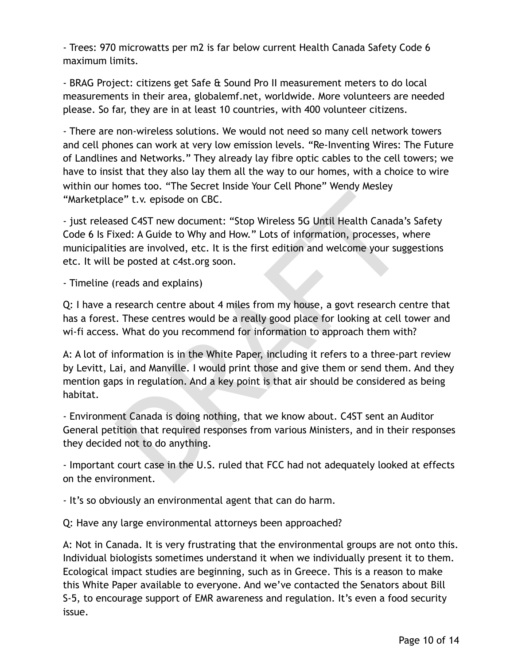- Trees: 970 microwatts per m2 is far below current Health Canada Safety Code 6 maximum limits.

- BRAG Project: citizens get Safe & Sound Pro II measurement meters to do local measurements in their area, globalemf.net, worldwide. More volunteers are needed please. So far, they are in at least 10 countries, with 400 volunteer citizens.

- There are non-wireless solutions. We would not need so many cell network towers and cell phones can work at very low emission levels. "Re-Inventing Wires: The Future of Landlines and Networks." They already lay fibre optic cables to the cell towers; we have to insist that they also lay them all the way to our homes, with a choice to wire within our homes too. "The Secret Inside Your Cell Phone" Wendy Mesley "Marketplace" t.v. episode on CBC.

Ee" t.v. episode on CBC.<br>
Ee" t.v. episode on CBC.<br>
Seed C4ST new document: "Stop Wireless 5G Until Health Canada'a<br>
xed: A Guide to Why and How." Lots of information, processes, w<br>
ies are involved, etc. It is the first e - just released C4ST new document: "Stop Wireless 5G Until Health Canada's Safety Code 6 Is Fixed: A Guide to Why and How." Lots of information, processes, where municipalities are involved, etc. It is the first edition and welcome your suggestions etc. It will be posted at c4st.org soon.

- Timeline (reads and explains)

Q: I have a research centre about 4 miles from my house, a govt research centre that has a forest. These centres would be a really good place for looking at cell tower and wi-fi access. What do you recommend for information to approach them with?

A: A lot of information is in the White Paper, including it refers to a three-part review by Levitt, Lai, and Manville. I would print those and give them or send them. And they mention gaps in regulation. And a key point is that air should be considered as being habitat.

- Environment Canada is doing nothing, that we know about. C4ST sent an Auditor General petition that required responses from various Ministers, and in their responses they decided not to do anything.

- Important court case in the U.S. ruled that FCC had not adequately looked at effects on the environment.

- It's so obviously an environmental agent that can do harm.

Q: Have any large environmental attorneys been approached?

A: Not in Canada. It is very frustrating that the environmental groups are not onto this. Individual biologists sometimes understand it when we individually present it to them. Ecological impact studies are beginning, such as in Greece. This is a reason to make this White Paper available to everyone. And we've contacted the Senators about Bill S-5, to encourage support of EMR awareness and regulation. It's even a food security issue.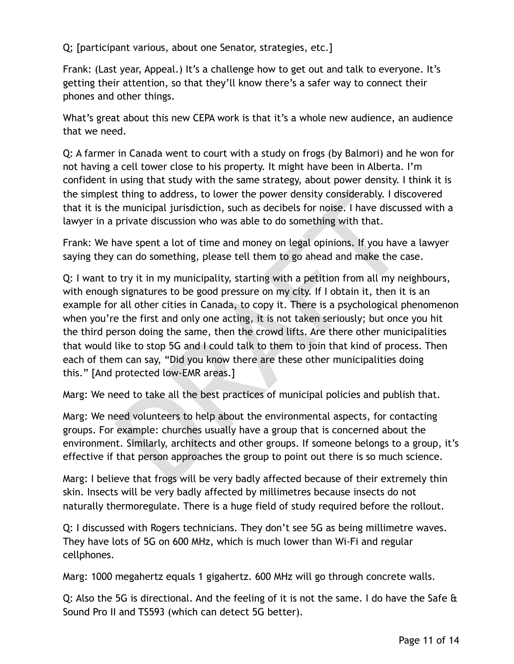Q; [participant various, about one Senator, strategies, etc.]

Frank: (Last year, Appeal.) It's a challenge how to get out and talk to everyone. It's getting their attention, so that they'll know there's a safer way to connect their phones and other things.

What's great about this new CEPA work is that it's a whole new audience, an audience that we need.

Q: A farmer in Canada went to court with a study on frogs (by Balmori) and he won for not having a cell tower close to his property. It might have been in Alberta. I'm confident in using that study with the same strategy, about power density. I think it is the simplest thing to address, to lower the power density considerably. I discovered that it is the municipal jurisdiction, such as decibels for noise. I have discussed with a lawyer in a private discussion who was able to do something with that.

Frank: We have spent a lot of time and money on legal opinions. If you have a lawyer saying they can do something, please tell them to go ahead and make the case.

t thing to address, to lower the power density considerably. I disc<br>e municipal jurisdiction, such as decibels for noise. I have discuss<br>private discussion who was able to do something with that.<br>ave spent a lot of time an Q: I want to try it in my municipality, starting with a petition from all my neighbours, with enough signatures to be good pressure on my city. If I obtain it, then it is an example for all other cities in Canada, to copy it. There is a psychological phenomenon when you're the first and only one acting, it is not taken seriously; but once you hit the third person doing the same, then the crowd lifts. Are there other municipalities that would like to stop 5G and I could talk to them to join that kind of process. Then each of them can say, "Did you know there are these other municipalities doing this." [And protected low-EMR areas.]

Marg: We need to take all the best practices of municipal policies and publish that.

Marg: We need volunteers to help about the environmental aspects, for contacting groups. For example: churches usually have a group that is concerned about the environment. Similarly, architects and other groups. If someone belongs to a group, it's effective if that person approaches the group to point out there is so much science.

Marg: I believe that frogs will be very badly affected because of their extremely thin skin. Insects will be very badly affected by millimetres because insects do not naturally thermoregulate. There is a huge field of study required before the rollout.

Q: I discussed with Rogers technicians. They don't see 5G as being millimetre waves. They have lots of 5G on 600 MHz, which is much lower than Wi-Fi and regular cellphones.

Marg: 1000 megahertz equals 1 gigahertz. 600 MHz will go through concrete walls.

Q: Also the 5G is directional. And the feeling of it is not the same. I do have the Safe & Sound Pro II and TS593 (which can detect 5G better).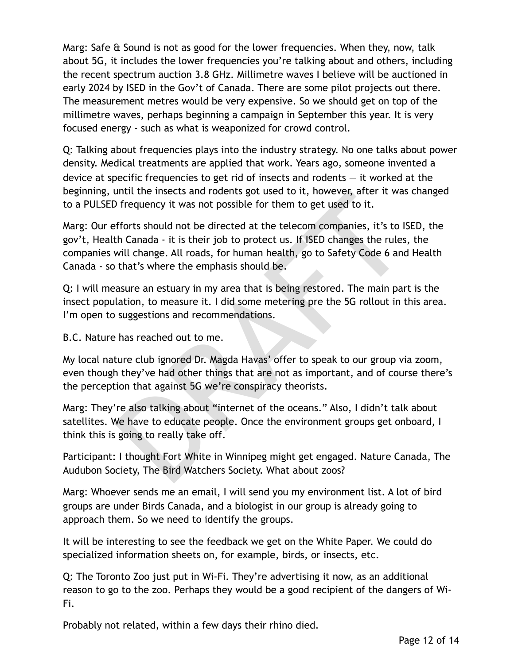Marg: Safe & Sound is not as good for the lower frequencies. When they, now, talk about 5G, it includes the lower frequencies you're talking about and others, including the recent spectrum auction 3.8 GHz. Millimetre waves I believe will be auctioned in early 2024 by ISED in the Gov't of Canada. There are some pilot projects out there. The measurement metres would be very expensive. So we should get on top of the millimetre waves, perhaps beginning a campaign in September this year. It is very focused energy - such as what is weaponized for crowd control.

Q: Talking about frequencies plays into the industry strategy. No one talks about power density. Medical treatments are applied that work. Years ago, someone invented a device at specific frequencies to get rid of insects and rodents — it worked at the beginning, until the insects and rodents got used to it, however, after it was changed to a PULSED frequency it was not possible for them to get used to it.

until the insects and rodents got used to it, nowever, arter it was<br>of requency it was not possible for them to get used to it.<br>fforts should not be directed at the telecom companies, it's to IS<br>th Canada - it is their job Marg: Our efforts should not be directed at the telecom companies, it's to ISED, the gov't, Health Canada - it is their job to protect us. If ISED changes the rules, the companies will change. All roads, for human health, go to Safety Code 6 and Health Canada - so that's where the emphasis should be.

Q: I will measure an estuary in my area that is being restored. The main part is the insect population, to measure it. I did some metering pre the 5G rollout in this area. I'm open to suggestions and recommendations.

B.C. Nature has reached out to me.

My local nature club ignored Dr. Magda Havas' offer to speak to our group via zoom, even though they've had other things that are not as important, and of course there's the perception that against 5G we're conspiracy theorists.

Marg: They're also talking about "internet of the oceans." Also, I didn't talk about satellites. We have to educate people. Once the environment groups get onboard, I think this is going to really take off.

Participant: I thought Fort White in Winnipeg might get engaged. Nature Canada, The Audubon Society, The Bird Watchers Society. What about zoos?

Marg: Whoever sends me an email, I will send you my environment list. A lot of bird groups are under Birds Canada, and a biologist in our group is already going to approach them. So we need to identify the groups.

It will be interesting to see the feedback we get on the White Paper. We could do specialized information sheets on, for example, birds, or insects, etc.

Q: The Toronto Zoo just put in Wi-Fi. They're advertising it now, as an additional reason to go to the zoo. Perhaps they would be a good recipient of the dangers of Wi-Fi.

Probably not related, within a few days their rhino died.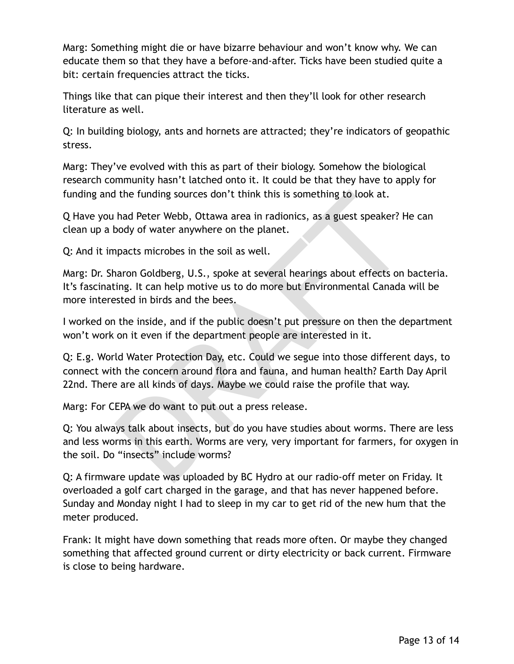Marg: Something might die or have bizarre behaviour and won't know why. We can educate them so that they have a before-and-after. Ticks have been studied quite a bit: certain frequencies attract the ticks.

Things like that can pique their interest and then they'll look for other research literature as well.

Q: In building biology, ants and hornets are attracted; they're indicators of geopathic stress.

Marg: They've evolved with this as part of their biology. Somehow the biological research community hasn't latched onto it. It could be that they have to apply for funding and the funding sources don't think this is something to look at.

Q Have you had Peter Webb, Ottawa area in radionics, as a guest speaker? He can clean up a body of water anywhere on the planet.

Q: And it impacts microbes in the soil as well.

I the funding sources don't think this is something to look at.<br>
had Peter Webb, Ottawa area in radionics, as a guest speaker? H<br>
body of water anywhere on the planet.<br>
hpacts microbes in the soil as well.<br>
hpacts microbes Marg: Dr. Sharon Goldberg, U.S., spoke at several hearings about effects on bacteria. It's fascinating. It can help motive us to do more but Environmental Canada will be more interested in birds and the bees.

I worked on the inside, and if the public doesn't put pressure on then the department won't work on it even if the department people are interested in it.

Q: E.g. World Water Protection Day, etc. Could we segue into those different days, to connect with the concern around flora and fauna, and human health? Earth Day April 22nd. There are all kinds of days. Maybe we could raise the profile that way.

Marg: For CEPA we do want to put out a press release.

Q: You always talk about insects, but do you have studies about worms. There are less and less worms in this earth. Worms are very, very important for farmers, for oxygen in the soil. Do "insects" include worms?

Q: A firmware update was uploaded by BC Hydro at our radio-off meter on Friday. It overloaded a golf cart charged in the garage, and that has never happened before. Sunday and Monday night I had to sleep in my car to get rid of the new hum that the meter produced.

Frank: It might have down something that reads more often. Or maybe they changed something that affected ground current or dirty electricity or back current. Firmware is close to being hardware.